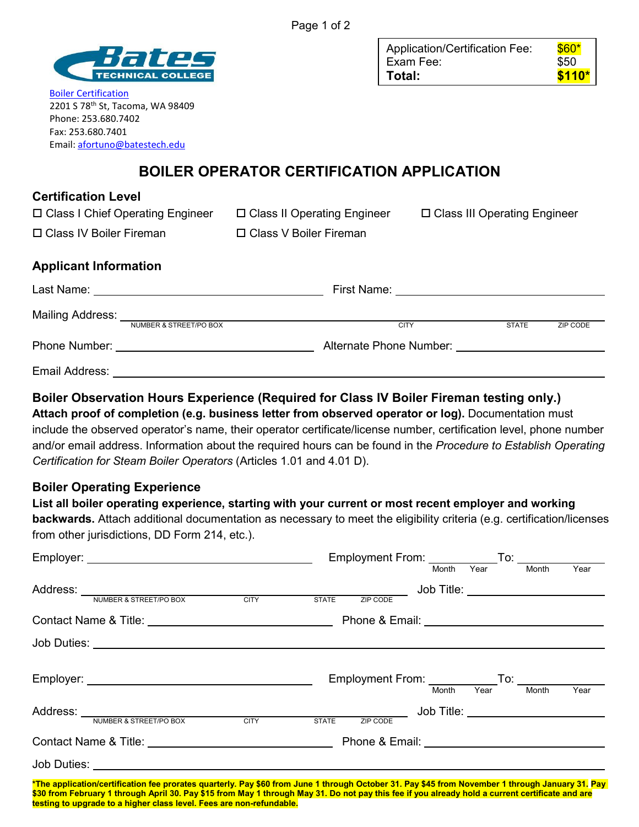

[Boiler Certification](http://www.batestech.edu/boiler) 2201 S 78<sup>th</sup> St, Tacoma, WA 98409 Phone: 253.680.7402 Fax: 253.680.7401 Email[: afortuno@batestech.edu](mailto:afortuno@batestech.edu)

□ Class I Chief Operating Engineer

| Application/Certification Fee: | $$60*$  |
|--------------------------------|---------|
| Exam Fee:                      | \$50    |
| Total:                         | $$110*$ |

# **BOILER OPERATOR CERTIFICATION APPLICATION**

| <b>Certification Level</b> |  |
|----------------------------|--|
|----------------------------|--|

 Class II Operating Engineer V Boiler Fireman

Class III Operating Engineer

| □ Class IV Boiler Fireman | $\Box$ Class ' |
|---------------------------|----------------|
|                           |                |

## **Applicant Information**

| Last Name:       |                                                    | First Name:                                     |              |          |
|------------------|----------------------------------------------------|-------------------------------------------------|--------------|----------|
| Mailing Address: | NUMBER & STREET/PO BOX                             | <b>CITY</b>                                     | <b>STATE</b> | ZIP CODE |
| Phone Number:    | <u> 1980 - John Stein, Amerikaansk politiker (</u> | Alternate Phone Number: Alternate Phone Number: |              |          |
| Email Address:   |                                                    |                                                 |              |          |

## **Boiler Observation Hours Experience (Required for Class IV Boiler Fireman testing only.)**

**Attach proof of completion (e.g. business letter from observed operator or log).** Documentation must include the observed operator's name, their operator certificate/license number, certification level, phone number and/or email address. Information about the required hours can be found in the *Procedure to Establish Operating Certification for Steam Boiler Operators* (Articles 1.01 and 4.01 D).

#### **Boiler Operating Experience**

## **List all boiler operating experience, starting with your current or most recent employer and working**

**backwards.** Attach additional documentation as necessary to meet the eligibility criteria (e.g. certification/licenses from other jurisdictions, DD Form 214, etc.).

|                                                                                                                                                  |  | Employment From: _______________To: ________ |       |      |                                   |      |
|--------------------------------------------------------------------------------------------------------------------------------------------------|--|----------------------------------------------|-------|------|-----------------------------------|------|
|                                                                                                                                                  |  |                                              | Month | Year | Month                             | Year |
|                                                                                                                                                  |  |                                              |       |      | Job Title: ______________________ |      |
| Address: NUMBER & STREET/PO BOX CITY STATE ZIP CODE                                                                                              |  |                                              |       |      |                                   |      |
|                                                                                                                                                  |  |                                              |       |      |                                   |      |
|                                                                                                                                                  |  |                                              |       |      |                                   |      |
|                                                                                                                                                  |  | Employment From: Month Year To: Month Year   |       |      |                                   | Year |
|                                                                                                                                                  |  |                                              |       |      |                                   |      |
|                                                                                                                                                  |  |                                              |       |      |                                   |      |
|                                                                                                                                                  |  |                                              |       |      |                                   |      |
|                                                                                                                                                  |  |                                              |       |      |                                   |      |
| *The application/certification fee prorates quarterly, Pay \$60 from June 1 through October 31, Pay \$45 from November 1 through January 31, Pay |  |                                              |       |      |                                   |      |

**\*The application/certification fee prorates quarterly. Pay \$60 from June 1 through October 31. Pay \$45 from November 1 through January 31. Pay \$30 from February 1 through April 30. Pay \$15 from May 1 through May 31. Do not pay this fee if you already hold a current certificate and are testing to upgrade to a higher class level. Fees are non-refundable.**